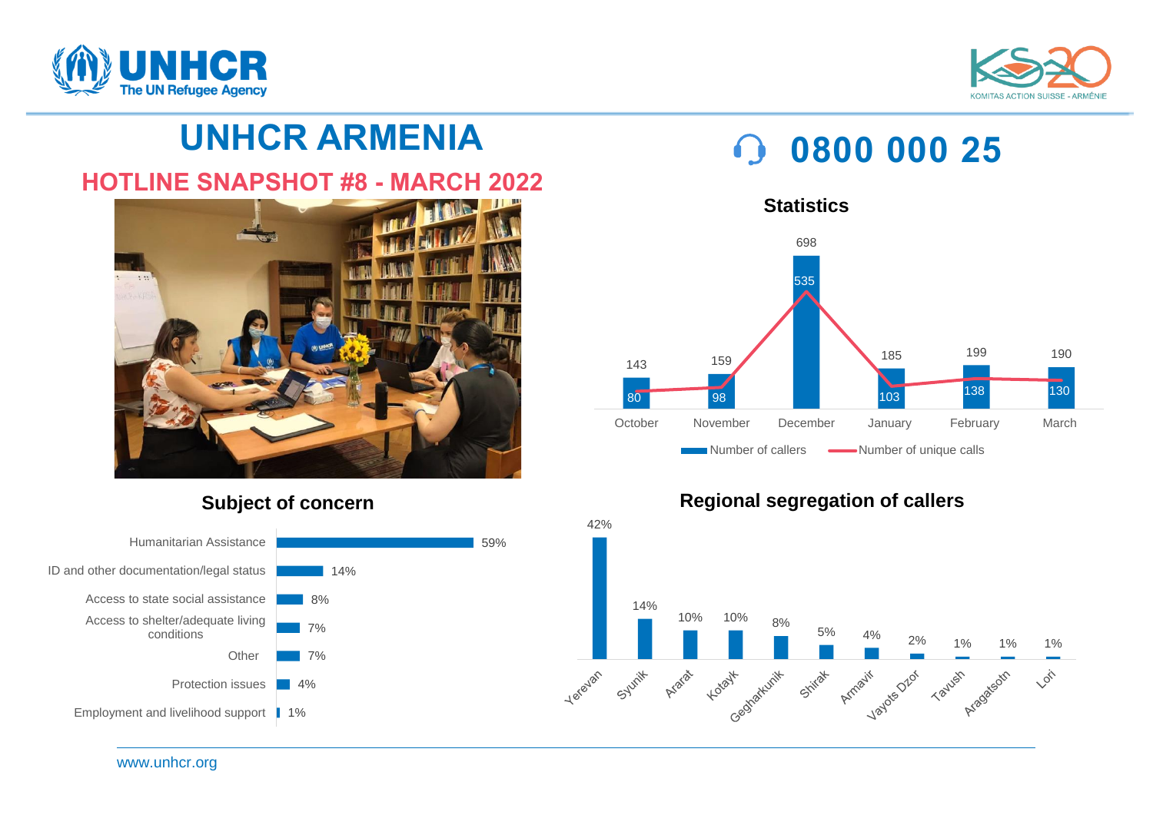



## **UNHCR ARMENIA**

### **HOTLINE SNAPSHOT #8 - MARCH 2022**



### **Subject of concern**



# **0800 000 25**





#### **Regional segregation of callers**

www.unhcr.org